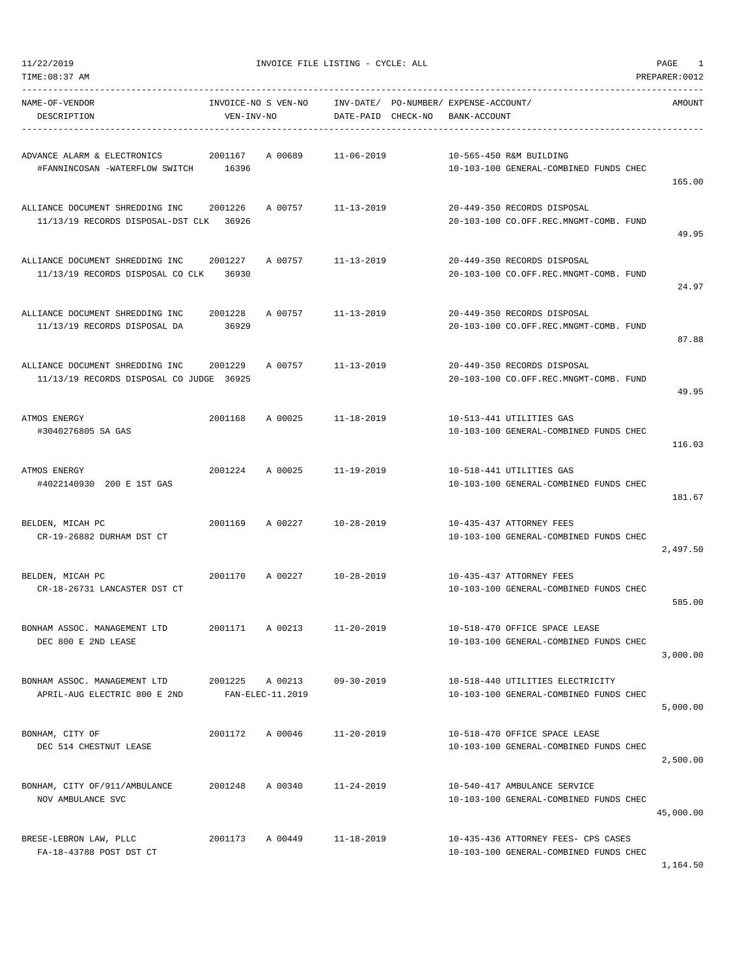TIME:08:37 AM PREPARER:0012

11/22/2019 **INVOICE FILE LISTING** - CYCLE: ALL **PAGE** 1

| NAME-OF-VENDOR<br>DESCRIPTION                                               | INVOICE-NO S VEN-NO<br>VEN-INV-NO |                  | DATE-PAID CHECK-NO | INV-DATE/ PO-NUMBER/ EXPENSE-ACCOUNT/<br>BANK-ACCOUNT |                                                                               | AMOUNT    |
|-----------------------------------------------------------------------------|-----------------------------------|------------------|--------------------|-------------------------------------------------------|-------------------------------------------------------------------------------|-----------|
| ADVANCE ALARM & ELECTRONICS<br>#FANNINCOSAN -WATERFLOW SWITCH               | 2001167<br>16396                  | A 00689          | 11-06-2019         |                                                       | 10-565-450 R&M BUILDING<br>10-103-100 GENERAL-COMBINED FUNDS CHEC             | 165.00    |
| ALLIANCE DOCUMENT SHREDDING INC<br>11/13/19 RECORDS DISPOSAL-DST CLK 36926  | 2001226                           | A 00757          | 11-13-2019         |                                                       | 20-449-350 RECORDS DISPOSAL<br>20-103-100 CO.OFF.REC.MNGMT-COMB. FUND         | 49.95     |
| ALLIANCE DOCUMENT SHREDDING INC<br>11/13/19 RECORDS DISPOSAL CO CLK         | 2001227<br>36930                  | A 00757          | 11-13-2019         |                                                       | 20-449-350 RECORDS DISPOSAL<br>20-103-100 CO.OFF.REC.MNGMT-COMB. FUND         | 24.97     |
| ALLIANCE DOCUMENT SHREDDING INC<br>11/13/19 RECORDS DISPOSAL DA             | 2001228<br>36929                  | A 00757          | $11 - 13 - 2019$   |                                                       | 20-449-350 RECORDS DISPOSAL<br>20-103-100 CO.OFF.REC.MNGMT-COMB. FUND         | 87.88     |
| ALLIANCE DOCUMENT SHREDDING INC<br>11/13/19 RECORDS DISPOSAL CO JUDGE 36925 | 2001229                           | A 00757          | 11-13-2019         |                                                       | 20-449-350 RECORDS DISPOSAL<br>20-103-100 CO.OFF.REC.MNGMT-COMB. FUND         | 49.95     |
| ATMOS ENERGY<br>#3040276805 SA GAS                                          | 2001168                           | A 00025          | 11-18-2019         |                                                       | 10-513-441 UTILITIES GAS<br>10-103-100 GENERAL-COMBINED FUNDS CHEC            | 116.03    |
| ATMOS ENERGY<br>#4022140930 200 E 1ST GAS                                   | 2001224                           | A 00025          | $11 - 19 - 2019$   |                                                       | 10-518-441 UTILITIES GAS<br>10-103-100 GENERAL-COMBINED FUNDS CHEC            | 181.67    |
| BELDEN, MICAH PC<br>CR-19-26882 DURHAM DST CT                               | 2001169                           | A 00227          | 10-28-2019         |                                                       | 10-435-437 ATTORNEY FEES<br>10-103-100 GENERAL-COMBINED FUNDS CHEC            | 2,497.50  |
| BELDEN, MICAH PC<br>CR-18-26731 LANCASTER DST CT                            | 2001170                           | A 00227          | 10-28-2019         |                                                       | 10-435-437 ATTORNEY FEES<br>10-103-100 GENERAL-COMBINED FUNDS CHEC            | 585.00    |
| BONHAM ASSOC. MANAGEMENT LTD<br>DEC 800 E 2ND LEASE                         | 2001171                           | A 00213          | $11 - 20 - 2019$   |                                                       | 10-518-470 OFFICE SPACE LEASE<br>10-103-100 GENERAL-COMBINED FUNDS CHEC       | 3,000.00  |
| BONHAM ASSOC. MANAGEMENT LTD<br>APRIL-AUG ELECTRIC 800 E 2ND                | 2001225 A 00213                   | FAN-ELEC-11.2019 | $09 - 30 - 2019$   |                                                       | 10-518-440 UTILITIES ELECTRICITY<br>10-103-100 GENERAL-COMBINED FUNDS CHEC    | 5,000.00  |
| BONHAM, CITY OF<br>DEC 514 CHESTNUT LEASE                                   | 2001172                           | A 00046          | $11 - 20 - 2019$   |                                                       | 10-518-470 OFFICE SPACE LEASE<br>10-103-100 GENERAL-COMBINED FUNDS CHEC       | 2,500.00  |
| BONHAM, CITY OF/911/AMBULANCE<br>NOV AMBULANCE SVC                          | 2001248                           | A 00340          | $11 - 24 - 2019$   |                                                       | 10-540-417 AMBULANCE SERVICE<br>10-103-100 GENERAL-COMBINED FUNDS CHEC        | 45,000.00 |
| BRESE-LEBRON LAW, PLLC<br>FA-18-43788 POST DST CT                           | 2001173                           | A 00449          | $11 - 18 - 2019$   |                                                       | 10-435-436 ATTORNEY FEES- CPS CASES<br>10-103-100 GENERAL-COMBINED FUNDS CHEC |           |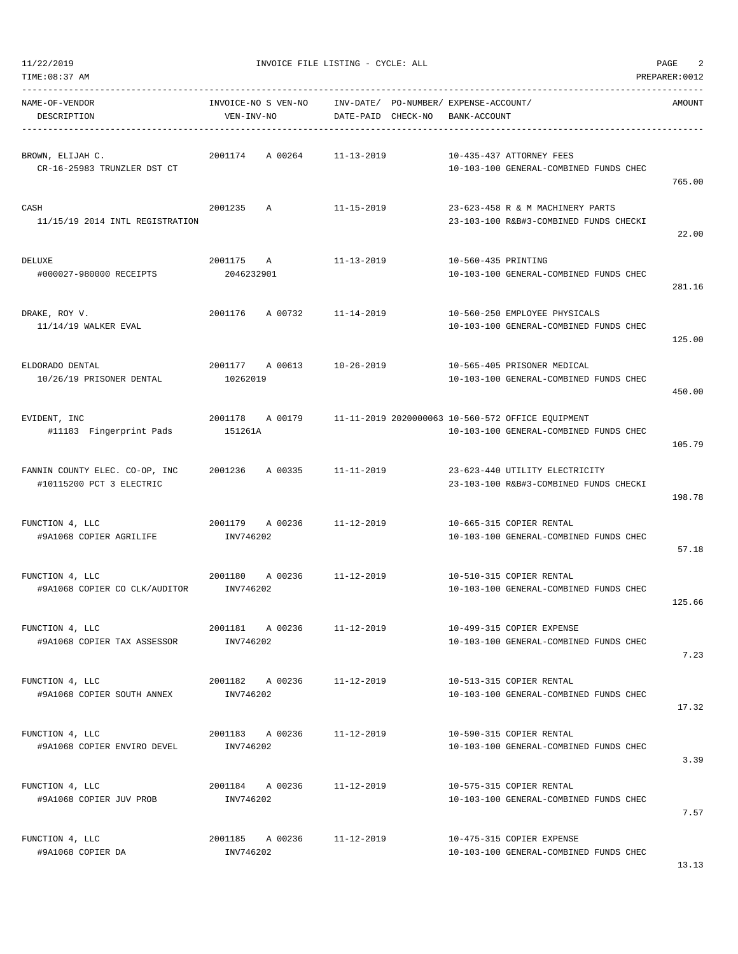| TIME:08:37 AM                                              |                                         |                                                             |                                                                                             | PREPARER: 0012 |
|------------------------------------------------------------|-----------------------------------------|-------------------------------------------------------------|---------------------------------------------------------------------------------------------|----------------|
| NAME-OF-VENDOR<br>DESCRIPTION                              | INVOICE-NO S VEN-NO<br>VEN-INV-NO       | INV-DATE/ PO-NUMBER/ EXPENSE-ACCOUNT/<br>DATE-PAID CHECK-NO | BANK-ACCOUNT                                                                                | AMOUNT         |
| BROWN, ELIJAH C.<br>CR-16-25983 TRUNZLER DST CT            | A 00264<br>2001174                      | $11 - 13 - 2019$                                            | 10-435-437 ATTORNEY FEES<br>10-103-100 GENERAL-COMBINED FUNDS CHEC                          | 765.00         |
| CASH<br>11/15/19 2014 INTL REGISTRATION                    | 2001235<br>Α                            | 11-15-2019                                                  | 23-623-458 R & M MACHINERY PARTS<br>23-103-100 R&B#3-COMBINED FUNDS CHECKI                  | 22.00          |
| DELUXE<br>#000027-980000 RECEIPTS                          | 2001175<br>A<br>2046232901              | 11-13-2019                                                  | 10-560-435 PRINTING<br>10-103-100 GENERAL-COMBINED FUNDS CHEC                               | 281.16         |
| DRAKE, ROY V.<br>11/14/19 WALKER EVAL                      | 2001176<br>A 00732                      | 11-14-2019                                                  | 10-560-250 EMPLOYEE PHYSICALS<br>10-103-100 GENERAL-COMBINED FUNDS CHEC                     | 125.00         |
| ELDORADO DENTAL<br>10/26/19 PRISONER DENTAL                | 2001177<br>A 00613<br>10262019          | $10 - 26 - 2019$                                            | 10-565-405 PRISONER MEDICAL<br>10-103-100 GENERAL-COMBINED FUNDS CHEC                       | 450.00         |
| EVIDENT, INC<br>#11183 Fingerprint Pads                    | 2001178<br>A 00179<br>151261A           |                                                             | 11-11-2019 2020000063 10-560-572 OFFICE EQUIPMENT<br>10-103-100 GENERAL-COMBINED FUNDS CHEC | 105.79         |
| FANNIN COUNTY ELEC. CO-OP, INC<br>#10115200 PCT 3 ELECTRIC | 2001236<br>A 00335                      | 11-11-2019                                                  | 23-623-440 UTILITY ELECTRICITY<br>23-103-100 R&B#3-COMBINED FUNDS CHECKI                    | 198.78         |
| FUNCTION 4, LLC<br>#9A1068 COPIER AGRILIFE                 | 2001179<br>A 00236<br>INV746202         | 11-12-2019                                                  | 10-665-315 COPIER RENTAL<br>10-103-100 GENERAL-COMBINED FUNDS CHEC                          | 57.18          |
| FUNCTION 4, LLC<br>#9A1068 COPIER CO CLK/AUDITOR           | 2001180<br>A 00236<br>INV746202         | $11 - 12 - 2019$                                            | 10-510-315 COPIER RENTAL<br>10-103-100 GENERAL-COMBINED FUNDS CHEC                          | 125.66         |
| FUNCTION 4, LLC<br>#9A1068 COPIER TAX ASSESSOR             | 2001181 A 00236<br>INV746202            | 11-12-2019                                                  | 10-499-315 COPIER EXPENSE<br>10-103-100 GENERAL-COMBINED FUNDS CHEC                         | 7.23           |
| FUNCTION 4, LLC<br>#9A1068 COPIER SOUTH ANNEX              | 2001182 A 00236 11-12-2019<br>INV746202 |                                                             | 10-513-315 COPIER RENTAL<br>10-103-100 GENERAL-COMBINED FUNDS CHEC                          | 17.32          |
| FUNCTION 4, LLC<br>#9A1068 COPIER ENVIRO DEVEL             | 2001183 A 00236 11-12-2019<br>INV746202 |                                                             | 10-590-315 COPIER RENTAL<br>10-103-100 GENERAL-COMBINED FUNDS CHEC                          | 3.39           |
| FUNCTION 4, LLC<br>#9A1068 COPIER JUV PROB                 | 2001184 A 00236 11-12-2019<br>INV746202 |                                                             | 10-575-315 COPIER RENTAL<br>10-103-100 GENERAL-COMBINED FUNDS CHEC                          | 7.57           |
| FUNCTION 4, LLC<br>#9A1068 COPIER DA                       | 2001185 A 00236<br>INV746202            | 11-12-2019                                                  | 10-475-315 COPIER EXPENSE<br>10-103-100 GENERAL-COMBINED FUNDS CHEC                         |                |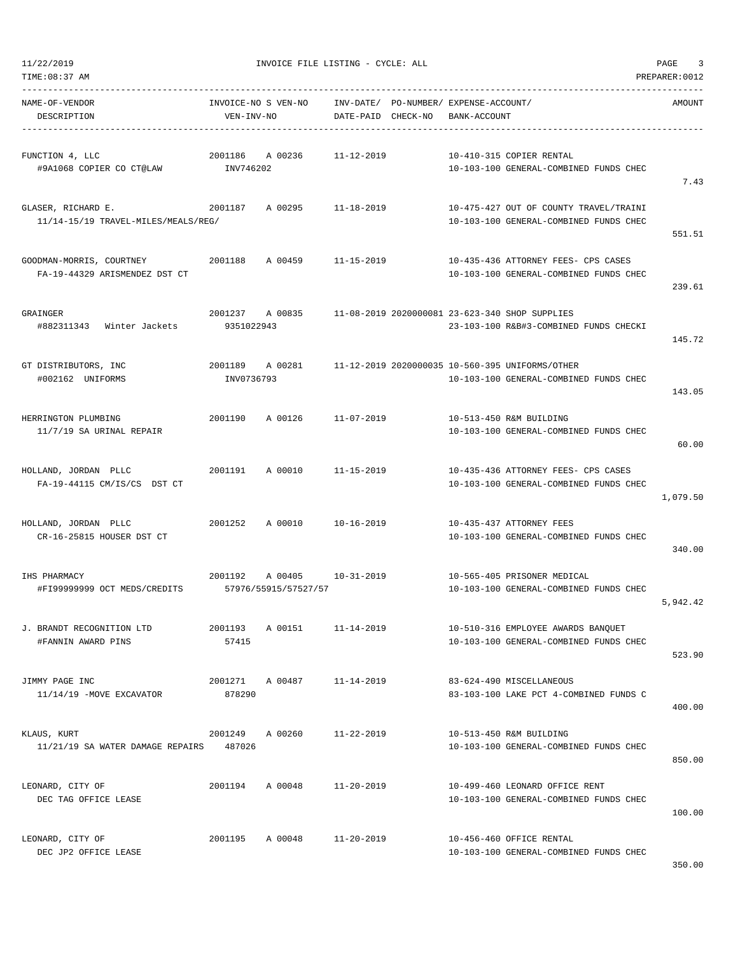| NAME-OF-VENDOR<br>DESCRIPTION                                     | INVOICE-NO S VEN-NO     INV-DATE/ PO-NUMBER/ EXPENSE-ACCOUNT/<br>VEN-INV-NO |                            | DATE-PAID CHECK-NO | BANK-ACCOUNT |                                                                                                           | AMOUNT   |
|-------------------------------------------------------------------|-----------------------------------------------------------------------------|----------------------------|--------------------|--------------|-----------------------------------------------------------------------------------------------------------|----------|
| FUNCTION 4, LLC<br>#9A1068 COPIER CO CT@LAW INV746202             | 2001186 A 00236                                                             |                            | 11-12-2019         |              | 10-410-315 COPIER RENTAL<br>10-103-100 GENERAL-COMBINED FUNDS CHEC                                        | 7.43     |
| GLASER, RICHARD E.<br>11/14-15/19 TRAVEL-MILES/MEALS/REG/         | 2001187 A 00295 11-18-2019                                                  |                            |                    |              | 10-475-427 OUT OF COUNTY TRAVEL/TRAINI<br>10-103-100 GENERAL-COMBINED FUNDS CHEC                          | 551.51   |
| FA-19-44329 ARISMENDEZ DST CT                                     |                                                                             |                            |                    |              | 10-435-436 ATTORNEY FEES- CPS CASES<br>10-103-100 GENERAL-COMBINED FUNDS CHEC                             | 239.61   |
| GRAINGER<br>#882311343 Winter Jackets 9351022943                  |                                                                             |                            |                    |              | 2001237 A 00835 11-08-2019 2020000081 23-623-340 SHOP SUPPLIES<br>23-103-100 R&B#3-COMBINED FUNDS CHECKI  | 145.72   |
| GT DISTRIBUTORS, INC<br>#002162 UNIFORMS                          | INV0736793                                                                  |                            |                    |              | 2001189 A 00281 11-12-2019 2020000035 10-560-395 UNIFORMS/OTHER<br>10-103-100 GENERAL-COMBINED FUNDS CHEC | 143.05   |
| HERRINGTON PLUMBING<br>11/7/19 SA URINAL REPAIR                   |                                                                             | 2001190 A 00126 11-07-2019 |                    |              | 10-513-450 R&M BUILDING<br>10-103-100 GENERAL-COMBINED FUNDS CHEC                                         | 60.00    |
| HOLLAND, JORDAN PLLC<br>FA-19-44115 CM/IS/CS DST CT               |                                                                             | 2001191 A 00010 11-15-2019 |                    |              | 10-435-436 ATTORNEY FEES- CPS CASES<br>10-103-100 GENERAL-COMBINED FUNDS CHEC                             | 1,079.50 |
| HOLLAND, JORDAN PLLC<br>CR-16-25815 HOUSER DST CT                 |                                                                             | 2001252 A 00010 10-16-2019 |                    |              | 10-435-437 ATTORNEY FEES<br>10-103-100 GENERAL-COMBINED FUNDS CHEC                                        | 340.00   |
| IHS PHARMACY<br>#FI99999999 OCT MEDS/CREDITS 57976/55915/57527/57 |                                                                             | 2001192 A 00405 10-31-2019 |                    |              | 10-565-405 PRISONER MEDICAL<br>10-103-100 GENERAL-COMBINED FUNDS CHEC                                     | 5,942.42 |
| J. BRANDT RECOGNITION LTD<br>#FANNIN AWARD PINS                   | 2001193 A 00151<br>57415                                                    |                            | $11 - 14 - 2019$   |              | 10-510-316 EMPLOYEE AWARDS BANQUET<br>10-103-100 GENERAL-COMBINED FUNDS CHEC                              | 523.90   |
| JIMMY PAGE INC<br>11/14/19 -MOVE EXCAVATOR                        | 878290                                                                      | 2001271 A 00487 11-14-2019 |                    |              | 83-624-490 MISCELLANEOUS<br>83-103-100 LAKE PCT 4-COMBINED FUNDS C                                        | 400.00   |
| KLAUS, KURT<br>11/21/19 SA WATER DAMAGE REPAIRS 487026            | 2001249 A 00260                                                             |                            | $11 - 22 - 2019$   |              | 10-513-450 R&M BUILDING<br>10-103-100 GENERAL-COMBINED FUNDS CHEC                                         | 850.00   |
| LEONARD, CITY OF<br>DEC TAG OFFICE LEASE                          | 2001194 A 00048                                                             |                            | $11 - 20 - 2019$   |              | 10-499-460 LEONARD OFFICE RENT<br>10-103-100 GENERAL-COMBINED FUNDS CHEC                                  | 100.00   |
| LEONARD, CITY OF<br>DEC JP2 OFFICE LEASE                          |                                                                             | 2001195 A 00048 11-20-2019 |                    |              | 10-456-460 OFFICE RENTAL<br>10-103-100 GENERAL-COMBINED FUNDS CHEC                                        | 350.00   |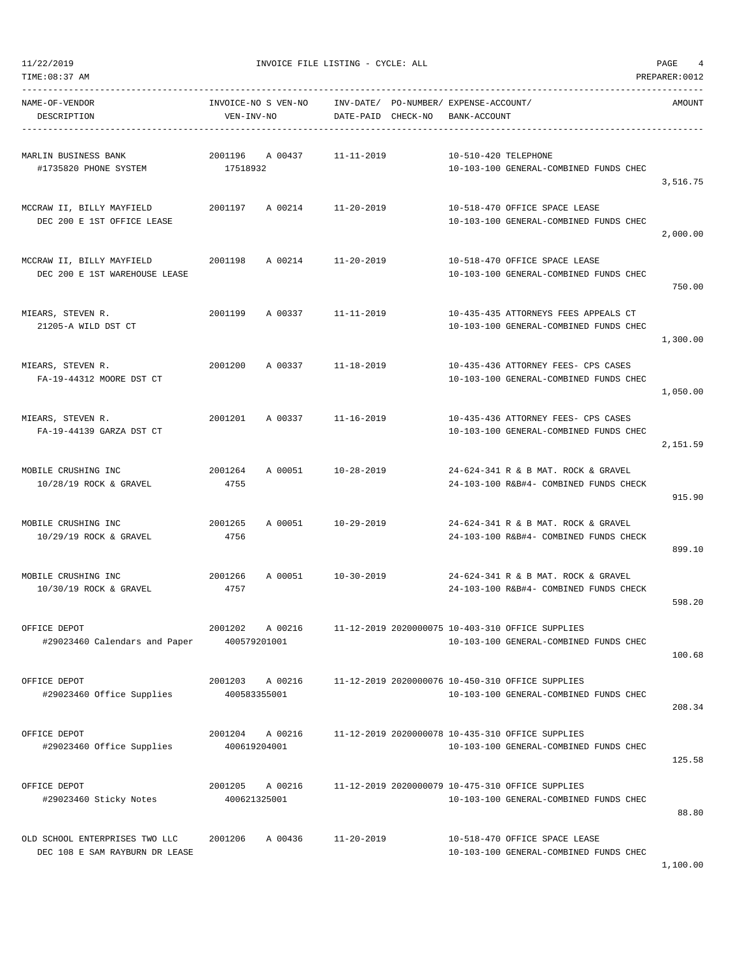TIME:08:37 AM PREPARER:0012

11/22/2019 INVOICE FILE LISTING - CYCLE: ALL PAGE 4

----------------------------------------------------------------------------------------------------------------------------------- NAME-OF-VENDOR INVOICE-NO S VEN-NO INV-DATE/ PO-NUMBER/ EXPENSE-ACCOUNT/ AMOUNT DESCRIPTION VEN-INV-NO DATE-PAID CHECK-NO BANK-ACCOUNT ----------------------------------------------------------------------------------------------------------------------------------- MARLIN BUSINESS BANK 2001196 A 00437 11-11-2019 10-510-420 TELEPHONE #1735820 PHONE SYSTEM 17518932 10-103-100 GENERAL-COMBINED FUNDS CHEC 3,516.75 MCCRAW II, BILLY MAYFIELD 2001197 A 00214 11-20-2019 10-518-470 OFFICE SPACE LEASE DEC 200 E 1ST OFFICE LEASE 10-103-100 GENERAL-COMBINED FUNDS CHEC 2,000.00 MCCRAW II, BILLY MAYFIELD 2001198 A 00214 11-20-2019 10-518-470 OFFICE SPACE LEASE DEC 200 E 1ST WAREHOUSE LEASE 10-103-100 GENERAL-COMBINED FUNDS CHEC 750.00 MIEARS, STEVEN R. 2001199 A 00337 11-11-2019 10-435-435 ATTORNEYS FEES APPEALS CT 21205-A WILD DST CT 10-103-100 GENERAL-COMBINED FUNDS CHEC 1,300.00 MIEARS, STEVEN R. 2001200 A 00337 11-18-2019 10-435-436 ATTORNEY FEES- CPS CASES FA-19-44312 MOORE DST CT 10-103-100 GENERAL-COMBINED FUNDS CHEC 1,050.00 MIEARS, STEVEN R. 2001201 A 00337 11-16-2019 10-435-436 ATTORNEY FEES- CPS CASES FA-19-44139 GARZA DST CT 10-103-100 GENERAL-COMBINED FUNDS CHEC 2,151.59 MOBILE CRUSHING INC 2001264 A 00051 10-28-2019 24-624-341 R & B MAT. ROCK & GRAVEL 10/28/19 ROCK & GRAVEL 4755 24-103-100 R&B#4- COMBINED FUNDS CHECK 915.90 MOBILE CRUSHING INC 2001265 A 00051 10-29-2019 24-624-341 R & B MAT. ROCK & GRAVEL 10/29/19 ROCK & GRAVEL 4756 24-103-100 R&B#4- COMBINED FUNDS CHECK 899.10 MOBILE CRUSHING INC 2001266 A 00051 10-30-2019 24-624-341 R & B MAT. ROCK & GRAVEL 10/30/19 ROCK & GRAVEL 4757 24-103-100 R&B#4- COMBINED FUNDS CHECK 598.20 OFFICE DEPOT 2001202 A 00216 11-12-2019 2020000075 10-403-310 OFFICE SUPPLIES #29023460 Calendars and Paper 400579201001 10-103-100 GENERAL-COMBINED FUNDS CHEC 100.68 OFFICE DEPOT 2001203 A 00216 11-12-2019 2020000076 10-450-310 OFFICE SUPPLIES #29023460 Office Supplies 400583355001 10-103-100 GENERAL-COMBINED FUNDS CHEC 208.34 OFFICE DEPOT 2001204 A 00216 11-12-2019 2020000078 10-435-310 OFFICE SUPPLIES #29023460 Office Supplies 400619204001 10-103-100 GENERAL-COMBINED FUNDS CHEC 125.58 OFFICE DEPOT 2001205 A 00216 11-12-2019 2020000079 10-475-310 OFFICE SUPPLIES #29023460 Sticky Notes 400621325001 10-103-100 GENERAL-COMBINED FUNDS CHEC 88.80 OLD SCHOOL ENTERPRISES TWO LLC 2001206 A 00436 11-20-2019 10-518-470 OFFICE SPACE LEASE DEC 108 E SAM RAYBURN DR LEASE 10-103-100 GENERAL-COMBINED FUNDS CHEC

1,100.00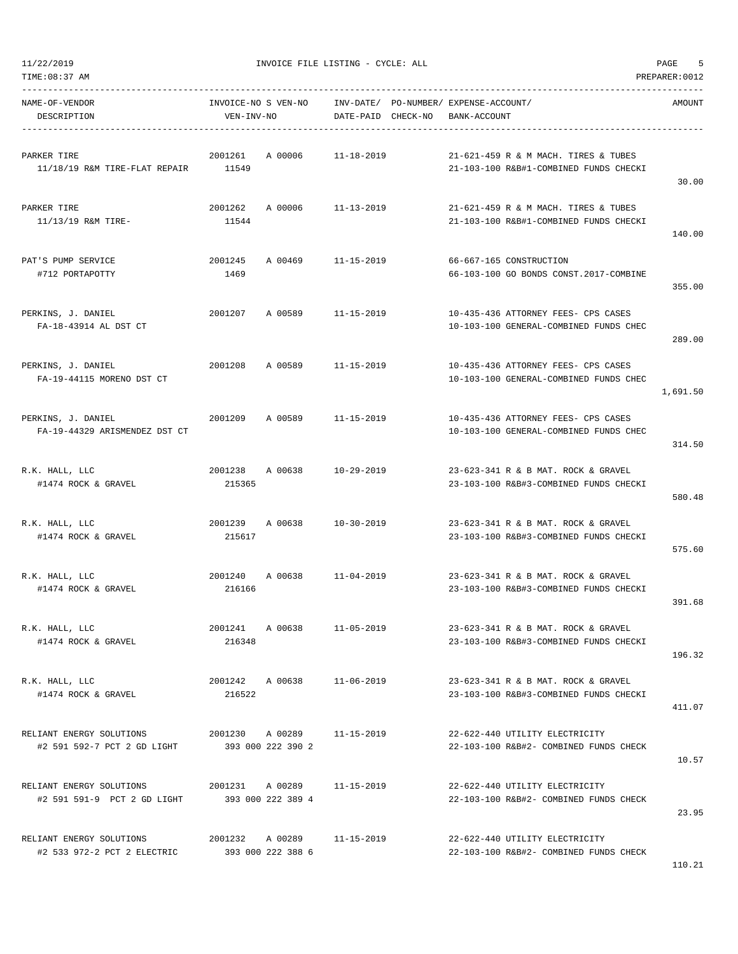| TIME:08:37 AM                                                                               |                                        |                                                             |                                                                                | PREPARER: 0012 |
|---------------------------------------------------------------------------------------------|----------------------------------------|-------------------------------------------------------------|--------------------------------------------------------------------------------|----------------|
| NAME-OF-VENDOR<br>DESCRIPTION                                                               | INVOICE-NO S VEN-NO<br>VEN-INV-NO      | INV-DATE/ PO-NUMBER/ EXPENSE-ACCOUNT/<br>DATE-PAID CHECK-NO | BANK-ACCOUNT                                                                   | AMOUNT         |
| PARKER TIRE<br>11/18/19 R&M TIRE-FLAT REPAIR                                                | 2001261<br>A 00006<br>11549            | 11-18-2019                                                  | 21-621-459 R & M MACH. TIRES & TUBES<br>21-103-100 R&B#1-COMBINED FUNDS CHECKI | 30.00          |
| PARKER TIRE<br>11/13/19 R&M TIRE-                                                           | 2001262<br>A 00006 11-13-2019<br>11544 |                                                             | 21-621-459 R & M MACH. TIRES & TUBES<br>21-103-100 R&B#1-COMBINED FUNDS CHECKI | 140.00         |
| PAT'S PUMP SERVICE<br>#712 PORTAPOTTY                                                       | 2001245<br>A 00469<br>1469             | 11-15-2019                                                  | 66-667-165 CONSTRUCTION<br>66-103-100 GO BONDS CONST.2017-COMBINE              | 355.00         |
| PERKINS, J. DANIEL<br>FA-18-43914 AL DST CT                                                 | 2001207<br>A 00589 11-15-2019          |                                                             | 10-435-436 ATTORNEY FEES- CPS CASES<br>10-103-100 GENERAL-COMBINED FUNDS CHEC  | 289.00         |
| PERKINS, J. DANIEL<br>FA-19-44115 MORENO DST CT                                             | 2001208<br>A 00589                     | $11 - 15 - 2019$                                            | 10-435-436 ATTORNEY FEES- CPS CASES<br>10-103-100 GENERAL-COMBINED FUNDS CHEC  | 1,691.50       |
| PERKINS, J. DANIEL<br>FA-19-44329 ARISMENDEZ DST CT                                         | 2001209<br>A 00589                     | 11-15-2019                                                  | 10-435-436 ATTORNEY FEES- CPS CASES<br>10-103-100 GENERAL-COMBINED FUNDS CHEC  | 314.50         |
| R.K. HALL, LLC<br>#1474 ROCK & GRAVEL                                                       | 2001238<br>A 00638<br>215365           | 10-29-2019                                                  | 23-623-341 R & B MAT. ROCK & GRAVEL<br>23-103-100 R&B#3-COMBINED FUNDS CHECKI  | 580.48         |
| R.K. HALL, LLC<br>#1474 ROCK & GRAVEL                                                       | 2001239<br>A 00638<br>215617           | 10-30-2019                                                  | 23-623-341 R & B MAT. ROCK & GRAVEL<br>23-103-100 R&B#3-COMBINED FUNDS CHECKI  | 575.60         |
| R.K. HALL, LLC<br>#1474 ROCK & GRAVEL                                                       | 2001240<br>216166                      | A 00638 11-04-2019                                          | 23-623-341 R & B MAT. ROCK & GRAVEL<br>23-103-100 R&B#3-COMBINED FUNDS CHECKI  | 391.68         |
| R.K. HALL, LLC<br>#1474 ROCK & GRAVEL                                                       | 2001241 A 00638<br>216348              | 11-05-2019                                                  | 23-623-341 R & B MAT. ROCK & GRAVEL<br>23-103-100 R&B#3-COMBINED FUNDS CHECKI  | 196.32         |
| R.K. HALL, LLC<br>#1474 ROCK & GRAVEL                                                       | 2001242 A 00638 11-06-2019<br>216522   |                                                             | 23-623-341 R & B MAT. ROCK & GRAVEL<br>23-103-100 R&B#3-COMBINED FUNDS CHECKI  | 411.07         |
| RELIANT ENERGY SOLUTIONS<br>#2 591 592-7 PCT 2 GD LIGHT 393 000 222 390 2                   | 2001230 A 00289 11-15-2019             |                                                             | 22-622-440 UTILITY ELECTRICITY<br>22-103-100 R&B#2- COMBINED FUNDS CHECK       | 10.57          |
| RELIANT ENERGY SOLUTIONS  2001231  A 00289<br>#2 591 591-9 PCT 2 GD LIGHT 393 000 222 389 4 |                                        | 11-15-2019                                                  | 22-622-440 UTILITY ELECTRICITY<br>22-103-100 R&B#2- COMBINED FUNDS CHECK       | 23.95          |
| RELIANT ENERGY SOLUTIONS<br>#2 533 972-2 PCT 2 ELECTRIC                                     | 2001232 A 00289<br>393 000 222 388 6   | 11-15-2019                                                  | 22-622-440 UTILITY ELECTRICITY<br>22-103-100 R&B#2- COMBINED FUNDS CHECK       |                |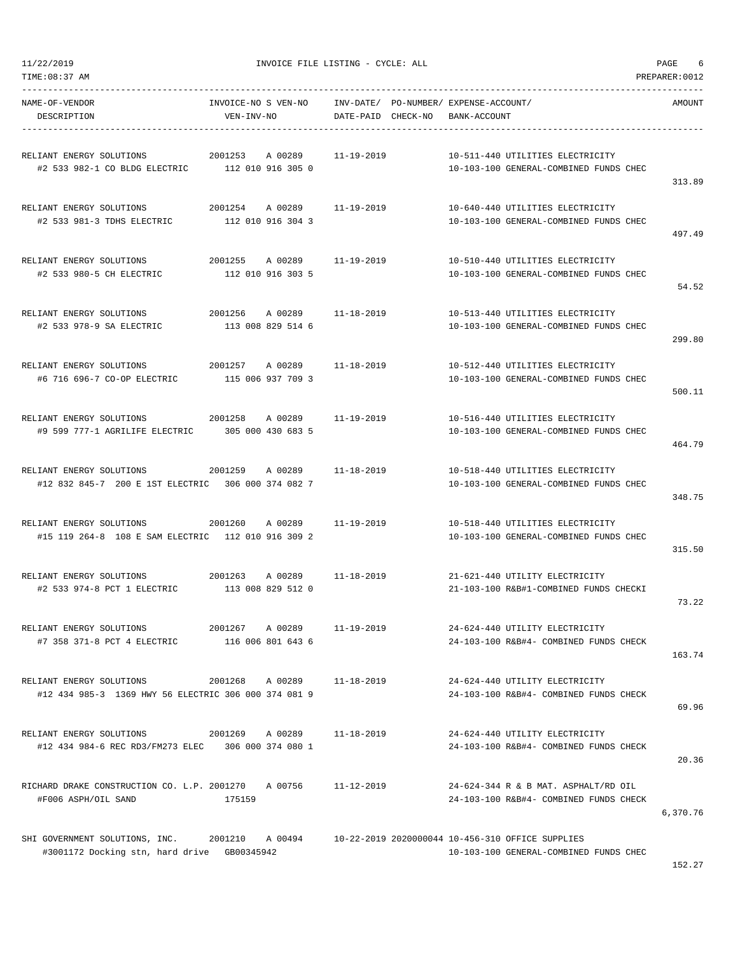54.52

299.80

500.11

464.79

348.75

315.50

73.22

163.74

69.96

| TIME:08:37 AM                                                                                                |                                                                         |            |                                                                            | PREPARER:0012 |
|--------------------------------------------------------------------------------------------------------------|-------------------------------------------------------------------------|------------|----------------------------------------------------------------------------|---------------|
| NAME-OF-VENDOR<br>DESCRIPTION                                                                                | INVOICE-NO S VEN-NO INV-DATE/ PO-NUMBER/ EXPENSE-ACCOUNT/<br>VEN-INV-NO |            | DATE-PAID CHECK-NO BANK-ACCOUNT                                            | AMOUNT        |
| RELIANT ENERGY SOLUTIONS                                                                                     | 2001253 A 00289                                                         | 11-19-2019 | 10-511-440 UTILITIES ELECTRICITY                                           |               |
| #2 533 982-1 CO BLDG ELECTRIC 112 010 916 305 0                                                              |                                                                         |            | 10-103-100 GENERAL-COMBINED FUNDS CHEC                                     | 313.89        |
|                                                                                                              |                                                                         |            | 10-640-440 UTILITIES ELECTRICITY                                           |               |
| #2 533 981-3 TDHS ELECTRIC                                                                                   | 112 010 916 304 3                                                       |            | 10-103-100 GENERAL-COMBINED FUNDS CHEC                                     | 497.49        |
| RELIANT ENERGY SOLUTIONS                                                                                     | 2001255 A 00289 11-19-2019                                              |            | 10-510-440 UTILITIES ELECTRICITY                                           |               |
| #2 533 980-5 CH ELECTRIC                                                                                     | 112 010 916 303 5                                                       |            | 10-103-100 GENERAL-COMBINED FUNDS CHEC                                     | 54.52         |
| RELIANT ENERGY SOLUTIONS                                                                                     | 2001256 A 00289 11-18-2019                                              |            | 10-513-440 UTILITIES ELECTRICITY                                           |               |
| #2 533 978-9 SA ELECTRIC                                                                                     | 113 008 829 514 6                                                       |            | 10-103-100 GENERAL-COMBINED FUNDS CHEC                                     | 299.80        |
| RELIANT ENERGY SOLUTIONS  2001257  A 00289  11-18-2019                                                       |                                                                         |            | 10-512-440 UTILITIES ELECTRICITY                                           |               |
| #6 716 696-7 CO-OP ELECTRIC 115 006 937 709 3                                                                |                                                                         |            | 10-103-100 GENERAL-COMBINED FUNDS CHEC                                     | 500.11        |
|                                                                                                              |                                                                         |            | 10-516-440 UTILITIES ELECTRICITY                                           |               |
| #9 599 777-1 AGRILIFE ELECTRIC 305 000 430 683 5                                                             |                                                                         |            | 10-103-100 GENERAL-COMBINED FUNDS CHEC                                     | 464.79        |
| RELIANT ENERGY SOLUTIONS                                                                                     | 2001259 A 00289 11-18-2019                                              |            | 10-518-440 UTILITIES ELECTRICITY<br>10-103-100 GENERAL-COMBINED FUNDS CHEC |               |
| #12 832 845-7 200 E 1ST ELECTRIC 306 000 374 082 7                                                           |                                                                         |            |                                                                            | 348.75        |
| #15 119 264-8 108 E SAM ELECTRIC 112 010 916 309 2                                                           |                                                                         |            | 10-518-440 UTILITIES ELECTRICITY<br>10-103-100 GENERAL-COMBINED FUNDS CHEC |               |
|                                                                                                              |                                                                         |            |                                                                            | 315.50        |
| RELIANT ENERGY SOLUTIONS 2001263 A 00289<br>#2 533 974-8 PCT 1 ELECTRIC 113 008 829 512 0                    |                                                                         | 11-18-2019 | 21-621-440 UTILITY ELECTRICITY<br>21-103-100 R&B#1-COMBINED FUNDS CHECKI   |               |
|                                                                                                              |                                                                         |            |                                                                            | 73.22         |
| RELIANT ENERGY SOLUTIONS<br>#7 358 371-8 PCT 4 ELECTRIC 116 006 801 643 6                                    | 2001267 A 00289                                                         | 11-19-2019 | 24-624-440 UTILITY ELECTRICITY<br>24-103-100 R&B#4- COMBINED FUNDS CHECK   |               |
|                                                                                                              |                                                                         |            |                                                                            | 163.74        |
| #12 434 985-3 1369 HWY 56 ELECTRIC 306 000 374 081 9                                                         |                                                                         |            | 24-624-440 UTILITY ELECTRICITY<br>24-103-100 R&B#4- COMBINED FUNDS CHECK   |               |
|                                                                                                              |                                                                         |            |                                                                            | 69.96         |
| RELIANT ENERGY SOLUTIONS  2001269  A 00289  11-18-2019<br>#12 434 984-6 REC RD3/FM273 ELEC 306 000 374 080 1 |                                                                         |            | 24-624-440 UTILITY ELECTRICITY<br>24-103-100 R&B#4- COMBINED FUNDS CHECK   |               |
|                                                                                                              |                                                                         |            |                                                                            |               |

20.36

RICHARD DRAKE CONSTRUCTION CO. L.P. 2001270 A 00756 11-12-2019 24-624-344 R & B MAT. ASPHALT/RD OIL #F006 ASPH/OIL SAND 175159 24-103-100 R&B#4- COMBINED FUNDS CHECK 6,370.76

SHI GOVERNMENT SOLUTIONS, INC. 2001210 A 00494 10-22-2019 2020000044 10-456-310 OFFICE SUPPLIES #3001172 Docking stn, hard drive GB00345942 10-103-100 GENERAL-COMBINED FUNDS CHEC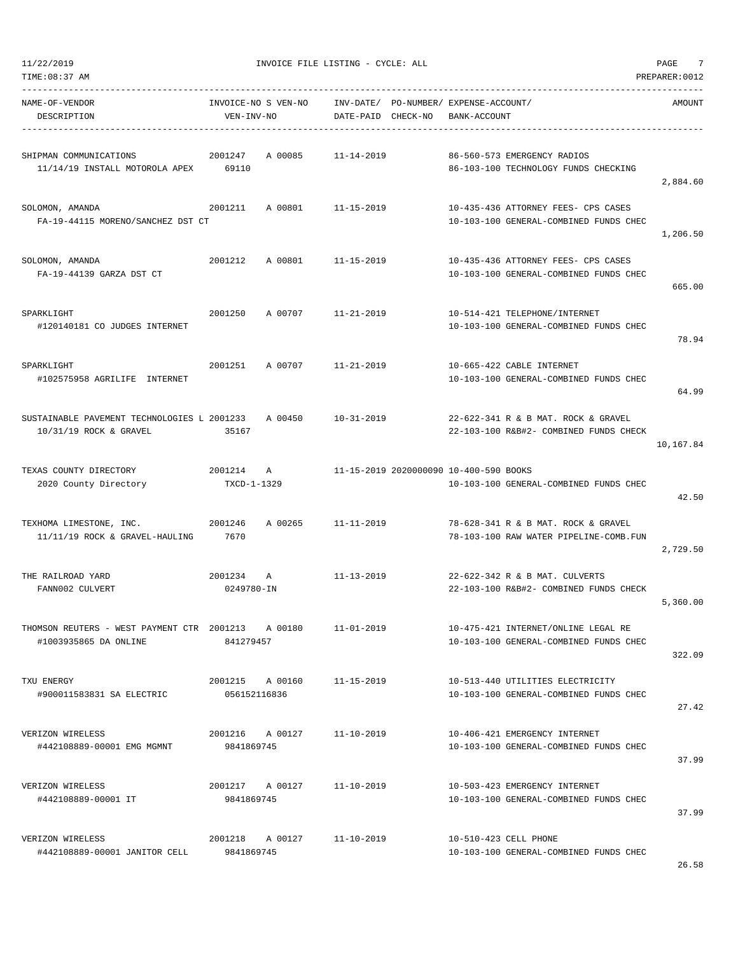| TIME:08:37 AM                                                                            |                                            |                                                                          |                                                                               | PREPARER: 0012 |
|------------------------------------------------------------------------------------------|--------------------------------------------|--------------------------------------------------------------------------|-------------------------------------------------------------------------------|----------------|
| NAME-OF-VENDOR<br>DESCRIPTION                                                            | INVOICE-NO S VEN-NO<br>VEN-INV-NO          | INV-DATE/ PO-NUMBER/ EXPENSE-ACCOUNT/<br>DATE-PAID CHECK-NO BANK-ACCOUNT |                                                                               | AMOUNT         |
| SHIPMAN COMMUNICATIONS<br>11/14/19 INSTALL MOTOROLA APEX 69110                           | 2001247<br>A 00085 11-14-2019              |                                                                          | 86-560-573 EMERGENCY RADIOS<br>86-103-100 TECHNOLOGY FUNDS CHECKING           | 2,884.60       |
| SOLOMON, AMANDA<br>FA-19-44115 MORENO/SANCHEZ DST CT                                     | 2001211 A 00801 11-15-2019                 |                                                                          | 10-435-436 ATTORNEY FEES- CPS CASES<br>10-103-100 GENERAL-COMBINED FUNDS CHEC | 1,206.50       |
| SOLOMON, AMANDA<br>FA-19-44139 GARZA DST CT                                              | 2001212 A 00801 11-15-2019                 |                                                                          | 10-435-436 ATTORNEY FEES- CPS CASES<br>10-103-100 GENERAL-COMBINED FUNDS CHEC | 665.00         |
| SPARKLIGHT<br>#120140181 CO JUDGES INTERNET                                              | 2001250<br>A 00707 11-21-2019              |                                                                          | 10-514-421 TELEPHONE/INTERNET<br>10-103-100 GENERAL-COMBINED FUNDS CHEC       | 78.94          |
| SPARKLIGHT<br>#102575958 AGRILIFE INTERNET                                               | 2001251 A 00707 11-21-2019                 |                                                                          | 10-665-422 CABLE INTERNET<br>10-103-100 GENERAL-COMBINED FUNDS CHEC           | 64.99          |
| SUSTAINABLE PAVEMENT TECHNOLOGIES L 2001233 A 00450 10-31-2019<br>10/31/19 ROCK & GRAVEL | 35167                                      |                                                                          | 22-622-341 R & B MAT, ROCK & GRAVEL<br>22-103-100 R&B#2- COMBINED FUNDS CHECK | 10,167.84      |
| TEXAS COUNTY DIRECTORY<br>2020 County Directory                                          | 2001214 A<br>TXCD-1-1329                   | 11-15-2019 2020000090 10-400-590 BOOKS                                   | 10-103-100 GENERAL-COMBINED FUNDS CHEC                                        | 42.50          |
| 2001246<br>TEXHOMA LIMESTONE, INC.<br>11/11/19 ROCK & GRAVEL-HAULING                     | 7670                                       | A 00265 11-11-2019                                                       | 78-628-341 R & B MAT. ROCK & GRAVEL<br>78-103-100 RAW WATER PIPELINE-COMB.FUN | 2,729.50       |
| THE RAILROAD YARD<br>FANN002 CULVERT                                                     | 2001234 A<br>0249780-IN                    | 11-13-2019                                                               | 22-622-342 R & B MAT. CULVERTS<br>22-103-100 R&B#2- COMBINED FUNDS CHECK      | 5,360.00       |
| THOMSON REUTERS - WEST PAYMENT CTR 2001213 A 00180<br>#1003935865 DA ONLINE              | 841279457                                  | 11-01-2019                                                               | 10-475-421 INTERNET/ONLINE LEGAL RE<br>10-103-100 GENERAL-COMBINED FUNDS CHEC | 322.09         |
| TXU ENERGY<br>#900011583831 SA ELECTRIC                                                  | 2001215 A 00160 11-15-2019<br>056152116836 |                                                                          | 10-513-440 UTILITIES ELECTRICITY<br>10-103-100 GENERAL-COMBINED FUNDS CHEC    | 27.42          |
| VERIZON WIRELESS<br>#442108889-00001 EMG MGMNT                                           | 2001216 A 00127<br>9841869745              | $11 - 10 - 2019$                                                         | 10-406-421 EMERGENCY INTERNET<br>10-103-100 GENERAL-COMBINED FUNDS CHEC       | 37.99          |
| VERIZON WIRELESS<br>#442108889-00001 IT                                                  | 2001217 A 00127<br>9841869745              | 11-10-2019                                                               | 10-503-423 EMERGENCY INTERNET<br>10-103-100 GENERAL-COMBINED FUNDS CHEC       | 37.99          |
| VERIZON WIRELESS<br>#442108889-00001 JANITOR CELL                                        | 2001218 A 00127<br>9841869745              | 11-10-2019                                                               | 10-510-423 CELL PHONE<br>10-103-100 GENERAL-COMBINED FUNDS CHEC               |                |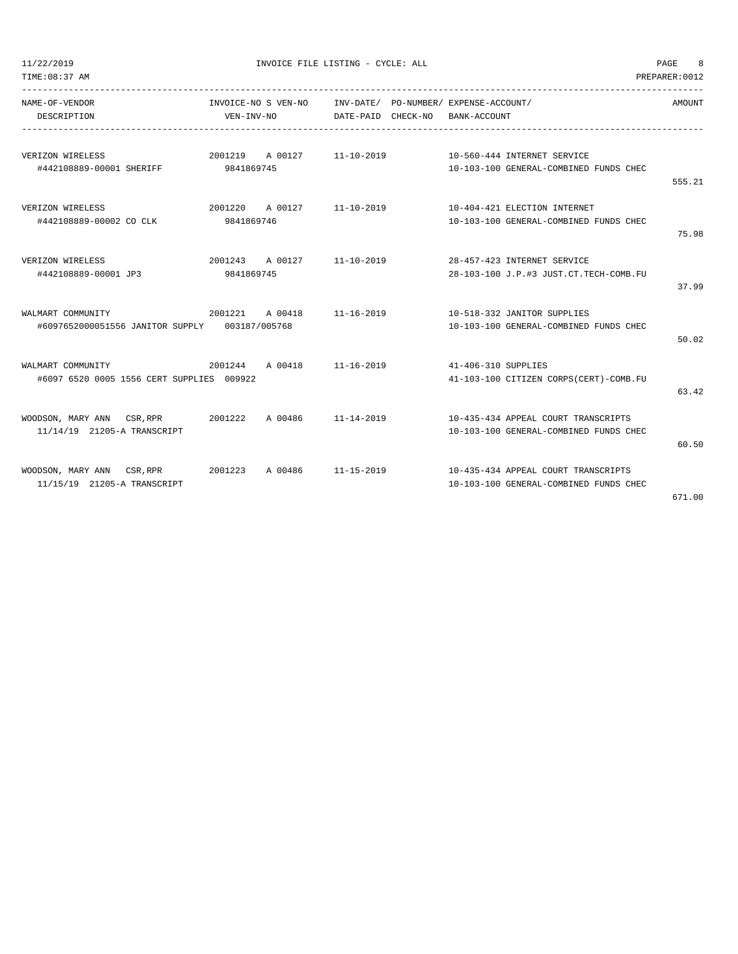| 11/22/2019<br>INVOICE FILE LISTING - CYCLE: ALL<br>TIME: 08:37 AM              |                       |                            |  |                                                                                              | PAGE<br>8<br>PREPARER: 0012                      |
|--------------------------------------------------------------------------------|-----------------------|----------------------------|--|----------------------------------------------------------------------------------------------|--------------------------------------------------|
| NAME-OF-VENDOR<br>DESCRIPTION                                                  | VEN-INV-NO            |                            |  | INVOICE-NO S VEN-NO INV-DATE/ PO-NUMBER/ EXPENSE-ACCOUNT/<br>DATE-PAID CHECK-NO BANK-ACCOUNT | AMOUNT                                           |
| VERIZON WIRELESS<br>#442108889-00001 SHERIFF                                   | 9841869745            | 2001219 A 00127 11-10-2019 |  | 10-560-444 INTERNET SERVICE                                                                  | 10-103-100 GENERAL-COMBINED FUNDS CHEC<br>555.21 |
| VERIZON WIRELESS<br>#442108889-00002 CO CLK                                    | 2001220<br>9841869746 | A 00127 11-10-2019         |  | 10-404-421 ELECTION INTERNET                                                                 | 10-103-100 GENERAL-COMBINED FUNDS CHEC<br>75.98  |
| VERIZON WIRELESS<br>#442108889-00001 JP3                                       | 9841869745            | 2001243 A 00127 11-10-2019 |  | 28-457-423 INTERNET SERVICE                                                                  | 28-103-100 J.P.#3 JUST.CT.TECH-COMB.FU<br>37.99  |
| WALMART COMMUNITY<br>2001221<br>#6097652000051556 JANITOR SUPPLY 003187/005768 |                       | A 00418 11-16-2019         |  | 10-518-332 JANITOR SUPPLIES                                                                  | 10-103-100 GENERAL-COMBINED FUNDS CHEC<br>50.02  |
| WALMART COMMUNITY<br>#6097 6520 0005 1556 CERT SUPPLIES 009922                 |                       | 2001244 A 00418 11-16-2019 |  | 41-406-310 SUPPLIES                                                                          | 41-103-100 CITIZEN CORPS (CERT)-COMB.FU<br>63.42 |
| WOODSON, MARY ANN CSR, RPR 2001222<br>11/14/19 21205-A TRANSCRIPT              |                       | A 00486 11-14-2019         |  | 10-435-434 APPEAL COURT TRANSCRIPTS                                                          | 10-103-100 GENERAL-COMBINED FUNDS CHEC<br>60.50  |
| WOODSON, MARY ANN CSR, RPR<br>11/15/19 21205-A TRANSCRIPT                      |                       | 2001223 A 00486 11-15-2019 |  | 10-435-434 APPEAL COURT TRANSCRIPTS                                                          | 10-103-100 GENERAL-COMBINED FUNDS CHEC           |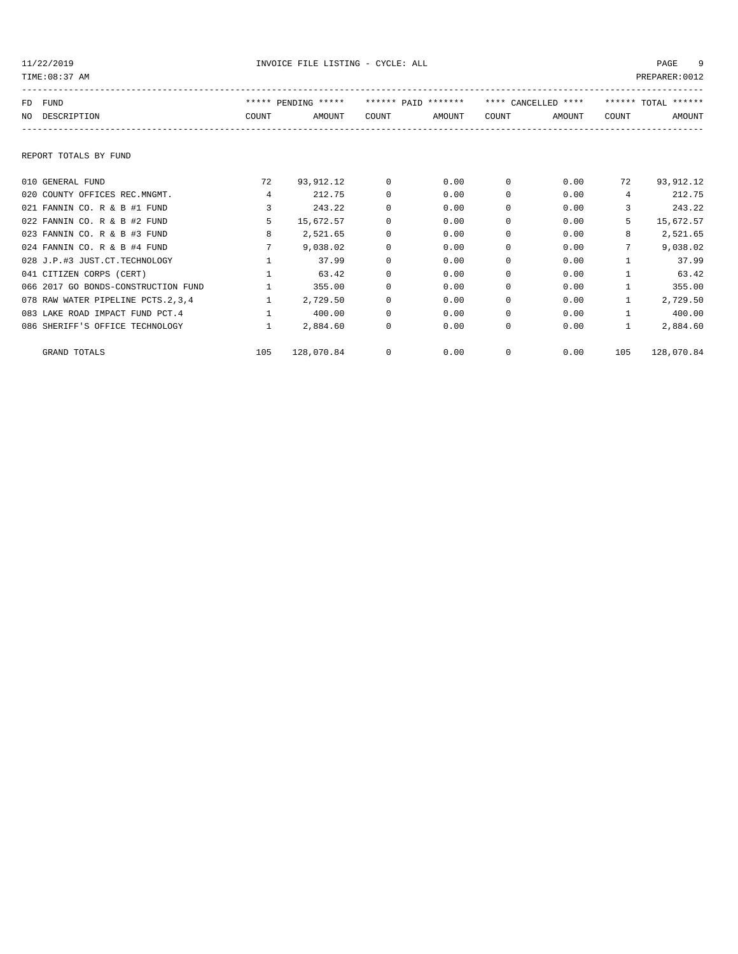|     | PREPARER: 0012<br>TIME: 08:37 AM     |              |                     |              |                     |          |                     |                |                     |
|-----|--------------------------------------|--------------|---------------------|--------------|---------------------|----------|---------------------|----------------|---------------------|
| FD. | FUND                                 |              | ***** PENDING ***** |              | ****** PAID ******* |          | **** CANCELLED **** |                | ****** TOTAL ****** |
|     | NO DESCRIPTION                       | COUNT        | AMOUNT              | COUNT        | AMOUNT              | COUNT    | AMOUNT              | COUNT          | AMOUNT              |
|     | REPORT TOTALS BY FUND                |              |                     |              |                     |          |                     |                |                     |
|     | 010 GENERAL FUND                     | 72           | 93,912.12           | 0            | 0.00                | 0        | 0.00                | 72             | 93, 912. 12         |
|     | 020 COUNTY OFFICES REC.MNGMT.        | 4            | 212.75              | $\Omega$     | 0.00                | $\Omega$ | 0.00                | $\overline{4}$ | 212.75              |
|     | 021 FANNIN CO. R & B #1 FUND         | 3            | 243.22              | $\Omega$     | 0.00                | $\Omega$ | 0.00                | 3              | 243.22              |
|     | 022 FANNIN CO. R & B #2 FUND         | 5            | 15,672.57           | 0            | 0.00                | $\Omega$ | 0.00                | 5              | 15,672.57           |
|     | 023 FANNIN CO. R & B #3 FUND         | 8            | 2,521.65            | $\Omega$     | 0.00                | 0        | 0.00                | 8              | 2,521.65            |
|     | 024 FANNIN CO. R & B #4 FUND         | 7            | 9,038.02            | $\Omega$     | 0.00                | 0        | 0.00                | 7              | 9,038.02            |
|     | 028 J.P.#3 JUST.CT.TECHNOLOGY        |              | 37.99               | $\Omega$     | 0.00                | 0        | 0.00                | $\mathbf{1}$   | 37.99               |
|     | 041 CITIZEN CORPS (CERT)             | $\mathbf{1}$ | 63.42               | $\Omega$     | 0.00                | 0        | 0.00                | $\mathbf{1}$   | 63.42               |
|     | 066 2017 GO BONDS-CONSTRUCTION FUND  | $\mathbf{1}$ | 355.00              | $\Omega$     | 0.00                | 0        | 0.00                | $\mathbf{1}$   | 355.00              |
|     | 078 RAW WATER PIPELINE PCTS. 2, 3, 4 | $\mathbf{1}$ | 2,729.50            | $\Omega$     | 0.00                | 0        | 0.00                | $\mathbf{1}$   | 2,729.50            |
|     | 083 LAKE ROAD IMPACT FUND PCT. 4     | $\mathbf{1}$ | 400.00              | $\Omega$     | 0.00                | 0        | 0.00                | $\mathbf{1}$   | 400.00              |
|     | 086 SHERIFF'S OFFICE TECHNOLOGY      | $\mathbf{1}$ | 2,884.60            | $\Omega$     | 0.00                | 0        | 0.00                | $\mathbf{1}$   | 2,884.60            |
|     | GRAND TOTALS                         | 105          | 128,070.84          | $\mathbf{0}$ | 0.00                | 0        | 0.00                | 105            | 128,070.84          |